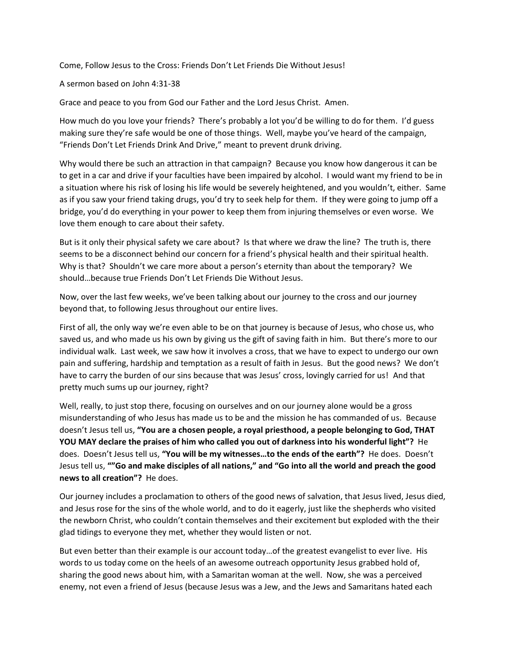Come, Follow Jesus to the Cross: Friends Don't Let Friends Die Without Jesus!

A sermon based on John 4:31-38

Grace and peace to you from God our Father and the Lord Jesus Christ. Amen.

How much do you love your friends? There's probably a lot you'd be willing to do for them. I'd guess making sure they're safe would be one of those things. Well, maybe you've heard of the campaign, "Friends Don't Let Friends Drink And Drive," meant to prevent drunk driving.

Why would there be such an attraction in that campaign? Because you know how dangerous it can be to get in a car and drive if your faculties have been impaired by alcohol. I would want my friend to be in a situation where his risk of losing his life would be severely heightened, and you wouldn't, either. Same as if you saw your friend taking drugs, you'd try to seek help for them. If they were going to jump off a bridge, you'd do everything in your power to keep them from injuring themselves or even worse. We love them enough to care about their safety.

But is it only their physical safety we care about? Is that where we draw the line? The truth is, there seems to be a disconnect behind our concern for a friend's physical health and their spiritual health. Why is that? Shouldn't we care more about a person's eternity than about the temporary? We should…because true Friends Don't Let Friends Die Without Jesus.

Now, over the last few weeks, we've been talking about our journey to the cross and our journey beyond that, to following Jesus throughout our entire lives.

First of all, the only way we're even able to be on that journey is because of Jesus, who chose us, who saved us, and who made us his own by giving us the gift of saving faith in him. But there's more to our individual walk. Last week, we saw how it involves a cross, that we have to expect to undergo our own pain and suffering, hardship and temptation as a result of faith in Jesus. But the good news? We don't have to carry the burden of our sins because that was Jesus' cross, lovingly carried for us! And that pretty much sums up our journey, right?

Well, really, to just stop there, focusing on ourselves and on our journey alone would be a gross misunderstanding of who Jesus has made us to be and the mission he has commanded of us. Because doesn't Jesus tell us, **"You are a chosen people, a royal priesthood, a people belonging to God, THAT YOU MAY declare the praises of him who called you out of darkness into his wonderful light"?** He does. Doesn't Jesus tell us, **"You will be my witnesses…to the ends of the earth"?** He does. Doesn't Jesus tell us, **""Go and make disciples of all nations," and "Go into all the world and preach the good news to all creation"?** He does.

Our journey includes a proclamation to others of the good news of salvation, that Jesus lived, Jesus died, and Jesus rose for the sins of the whole world, and to do it eagerly, just like the shepherds who visited the newborn Christ, who couldn't contain themselves and their excitement but exploded with the their glad tidings to everyone they met, whether they would listen or not.

But even better than their example is our account today…of the greatest evangelist to ever live. His words to us today come on the heels of an awesome outreach opportunity Jesus grabbed hold of, sharing the good news about him, with a Samaritan woman at the well. Now, she was a perceived enemy, not even a friend of Jesus (because Jesus was a Jew, and the Jews and Samaritans hated each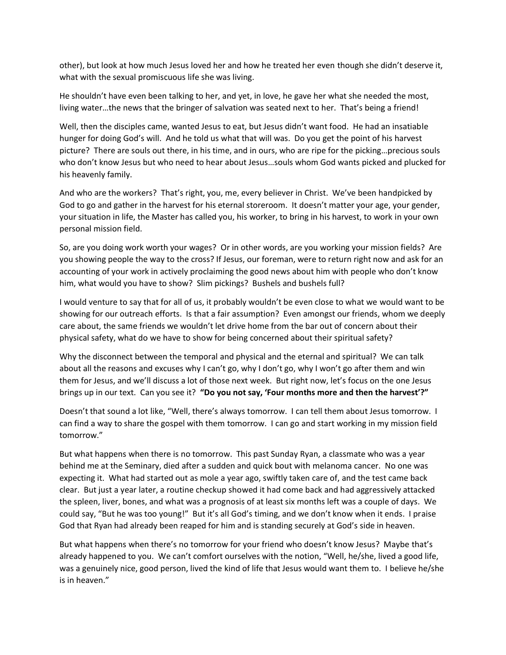other), but look at how much Jesus loved her and how he treated her even though she didn't deserve it, what with the sexual promiscuous life she was living.

He shouldn't have even been talking to her, and yet, in love, he gave her what she needed the most, living water...the news that the bringer of salvation was seated next to her. That's being a friend!

Well, then the disciples came, wanted Jesus to eat, but Jesus didn't want food. He had an insatiable hunger for doing God's will. And he told us what that will was. Do you get the point of his harvest picture? There are souls out there, in his time, and in ours, who are ripe for the picking…precious souls who don't know Jesus but who need to hear about Jesus…souls whom God wants picked and plucked for his heavenly family.

And who are the workers? That's right, you, me, every believer in Christ. We've been handpicked by God to go and gather in the harvest for his eternal storeroom. It doesn't matter your age, your gender, your situation in life, the Master has called you, his worker, to bring in his harvest, to work in your own personal mission field.

So, are you doing work worth your wages? Or in other words, are you working your mission fields? Are you showing people the way to the cross? If Jesus, our foreman, were to return right now and ask for an accounting of your work in actively proclaiming the good news about him with people who don't know him, what would you have to show? Slim pickings? Bushels and bushels full?

I would venture to say that for all of us, it probably wouldn't be even close to what we would want to be showing for our outreach efforts. Is that a fair assumption? Even amongst our friends, whom we deeply care about, the same friends we wouldn't let drive home from the bar out of concern about their physical safety, what do we have to show for being concerned about their spiritual safety?

Why the disconnect between the temporal and physical and the eternal and spiritual? We can talk about all the reasons and excuses why I can't go, why I don't go, why I won't go after them and win them for Jesus, and we'll discuss a lot of those next week. But right now, let's focus on the one Jesus brings up in our text. Can you see it? **"Do you not say, 'Four months more and then the harvest'?"**

Doesn't that sound a lot like, "Well, there's always tomorrow. I can tell them about Jesus tomorrow. I can find a way to share the gospel with them tomorrow. I can go and start working in my mission field tomorrow."

But what happens when there is no tomorrow. This past Sunday Ryan, a classmate who was a year behind me at the Seminary, died after a sudden and quick bout with melanoma cancer. No one was expecting it. What had started out as mole a year ago, swiftly taken care of, and the test came back clear. But just a year later, a routine checkup showed it had come back and had aggressively attacked the spleen, liver, bones, and what was a prognosis of at least six months left was a couple of days. We could say, "But he was too young!" But it's all God's timing, and we don't know when it ends. I praise God that Ryan had already been reaped for him and is standing securely at God's side in heaven.

But what happens when there's no tomorrow for your friend who doesn't know Jesus? Maybe that's already happened to you. We can't comfort ourselves with the notion, "Well, he/she, lived a good life, was a genuinely nice, good person, lived the kind of life that Jesus would want them to. I believe he/she is in heaven."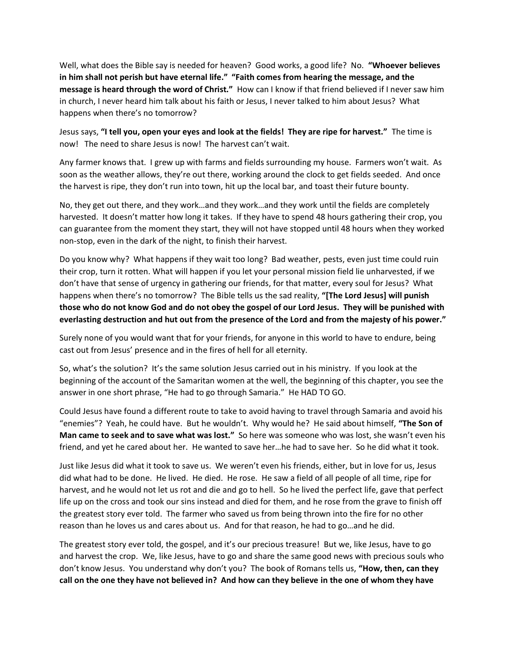Well, what does the Bible say is needed for heaven? Good works, a good life? No. **"Whoever believes in him shall not perish but have eternal life." "Faith comes from hearing the message, and the message is heard through the word of Christ."** How can I know if that friend believed if I never saw him in church, I never heard him talk about his faith or Jesus, I never talked to him about Jesus? What happens when there's no tomorrow?

Jesus says, **"I tell you, open your eyes and look at the fields! They are ripe for harvest."** The time is now! The need to share Jesus is now! The harvest can't wait.

Any farmer knows that. I grew up with farms and fields surrounding my house. Farmers won't wait. As soon as the weather allows, they're out there, working around the clock to get fields seeded. And once the harvest is ripe, they don't run into town, hit up the local bar, and toast their future bounty.

No, they get out there, and they work…and they work…and they work until the fields are completely harvested. It doesn't matter how long it takes. If they have to spend 48 hours gathering their crop, you can guarantee from the moment they start, they will not have stopped until 48 hours when they worked non-stop, even in the dark of the night, to finish their harvest.

Do you know why? What happens if they wait too long? Bad weather, pests, even just time could ruin their crop, turn it rotten. What will happen if you let your personal mission field lie unharvested, if we don't have that sense of urgency in gathering our friends, for that matter, every soul for Jesus? What happens when there's no tomorrow? The Bible tells us the sad reality, **"[The Lord Jesus] will punish those who do not know God and do not obey the gospel of our Lord Jesus. They will be punished with everlasting destruction and hut out from the presence of the Lord and from the majesty of his power."**

Surely none of you would want that for your friends, for anyone in this world to have to endure, being cast out from Jesus' presence and in the fires of hell for all eternity.

So, what's the solution? It's the same solution Jesus carried out in his ministry. If you look at the beginning of the account of the Samaritan women at the well, the beginning of this chapter, you see the answer in one short phrase, "He had to go through Samaria." He HAD TO GO.

Could Jesus have found a different route to take to avoid having to travel through Samaria and avoid his "enemies"? Yeah, he could have. But he wouldn't. Why would he? He said about himself, **"The Son of Man came to seek and to save what was lost."** So here was someone who was lost, she wasn't even his friend, and yet he cared about her. He wanted to save her…he had to save her. So he did what it took.

Just like Jesus did what it took to save us. We weren't even his friends, either, but in love for us, Jesus did what had to be done. He lived. He died. He rose. He saw a field of all people of all time, ripe for harvest, and he would not let us rot and die and go to hell. So he lived the perfect life, gave that perfect life up on the cross and took our sins instead and died for them, and he rose from the grave to finish off the greatest story ever told. The farmer who saved us from being thrown into the fire for no other reason than he loves us and cares about us. And for that reason, he had to go…and he did.

The greatest story ever told, the gospel, and it's our precious treasure! But we, like Jesus, have to go and harvest the crop. We, like Jesus, have to go and share the same good news with precious souls who don't know Jesus. You understand why don't you? The book of Romans tells us, **"How, then, can they call on the one they have not believed in? And how can they believe in the one of whom they have**